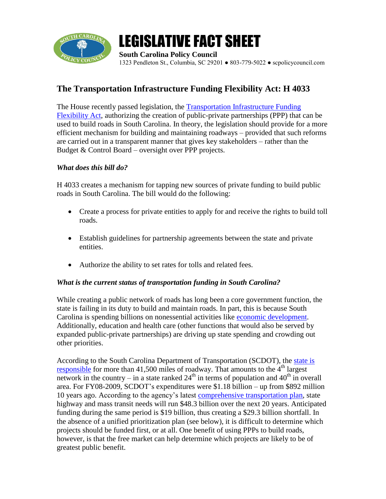

# LEGISLATIVE FACT SHEET

**South Carolina Policy Council** 1323 Pendleton St., Columbia, SC 29201 ● 803-779-5022 ● scpolicycouncil.com

# **The Transportation Infrastructure Funding Flexibility Act: H 4033**

The House recently passed legislation, the Transportation Infrastructure Funding [Flexibility Act,](http://www.scstatehouse.gov/sess118_2009-2010/bills/4033.htm) authorizing the creation of public-private partnerships (PPP) that can be used to build roads in South Carolina. In theory, the legislation should provide for a more efficient mechanism for building and maintaining roadways – provided that such reforms are carried out in a transparent manner that gives key stakeholders – rather than the Budget & Control Board – oversight over PPP projects.

## *What does this bill do?*

H 4033 creates a mechanism for tapping new sources of private funding to build public roads in South Carolina. The bill would do the following:

- Create a process for private entities to apply for and receive the rights to build toll roads.
- Establish guidelines for partnership agreements between the state and private entities.
- Authorize the ability to set rates for tolls and related fees.

## *What is the current status of transportation funding in South Carolina?*

While creating a public network of roads has long been a core government function, the state is failing in its duty to build and maintain roads. In part, this is because South Carolina is spending billions on nonessential activities like [economic development.](http://www.scpolicycouncil.com/research-and-publications-/budget/857-three-steps-toward-transparency-protecting-taxpayer-investments-in-south-carolinas-economy) Additionally, education and health care (other functions that would also be served by expanded public-private partnerships) are driving up state spending and crowding out other priorities.

According to the South Carolina Department of Transportation (SCDOT), the [state is](http://www.scdot.org/inside/pdfs/STIP/stip_statewide.pdf)  [responsible](http://www.scdot.org/inside/pdfs/STIP/stip_statewide.pdf) for more than 41,500 miles of roadway. That amounts to the  $4<sup>th</sup>$  largest network in the country – in a state ranked  $24<sup>th</sup>$  in terms of population and  $40<sup>th</sup>$  in overall area. For FY08-2009, SCDOT's expenditures were \$1.18 billion – up from \$892 million 10 years ago. According to the agency's latest [comprehensive transportation plan,](http://www.scdot.org/inside/multimodal/pdfs/MultimodalPlanExecutiveSummary.pdf) state highway and mass transit needs will run \$48.3 billion over the next 20 years. Anticipated funding during the same period is \$19 billion, thus creating a \$29.3 billion shortfall. In the absence of a unified prioritization plan (see below), it is difficult to determine which projects should be funded first, or at all. One benefit of using PPPs to build roads, however, is that the free market can help determine which projects are likely to be of greatest public benefit.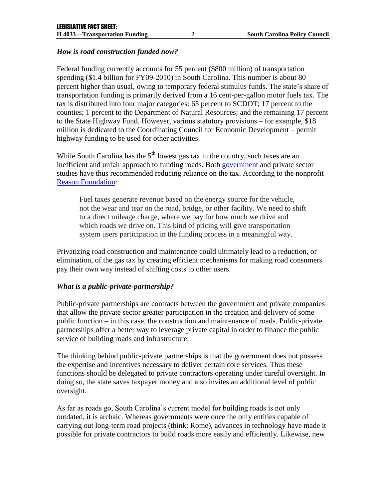#### *How is road construction funded now?*

Federal funding currently accounts for 55 percent (\$800 million) of transportation spending (\$1.4 billion for FY09-2010) in South Carolina. This number is about 80 percent higher than usual, owing to temporary federal stimulus funds. The state's share of transportation funding is primarily derived from a 16 cent-per-gallon motor fuels tax. The tax is distributed into four major categories: 65 percent to SCDOT; 17 percent to the counties; 1 percent to the Department of Natural Resources; and the remaining 17 percent to the State Highway Fund. However, various statutory provisions – for example, \$18 million is dedicated to the Coordinating Council for Economic Development – permit highway funding to be used for other activities.

While South Carolina has the  $5<sup>th</sup>$  lowest gas tax in the country, such taxes are an inefficient and unfair approach to funding roads. Both [government](http://financecommission.dot.gov/) and private sector studies have thus recommended reducing reliance on the tax. According to the nonprofit [Reason Foundation:](http://reason.org/news/show/funding-system-for-roads-and-b)

Fuel taxes generate revenue based on the energy source for the vehicle, not the wear and tear on the road, bridge, or other facility. We need to shift to a direct mileage charge, where we pay for how much we drive and which roads we drive on. This kind of pricing will give transportation system users participation in the funding process in a meaningful way.

Privatizing road construction and maintenance could ultimately lead to a reduction, or elimination, of the gas tax by creating efficient mechanisms for making road consumers pay their own way instead of shifting costs to other users.

#### *What is a public-private-partnership?*

Public-private partnerships are contracts between the government and private companies that allow the private sector greater participation in the creation and delivery of some public function – in this case, the construction and maintenance of roads. Public-private partnerships offer a better way to leverage private capital in order to finance the public service of building roads and infrastructure.

The thinking behind public-private partnerships is that the government does not possess the expertise and incentives necessary to deliver certain core services. Thus these functions should be delegated to private contractors operating under careful oversight. In doing so, the state saves taxpayer money and also invites an additional level of public oversight.

As far as roads go, South Carolina's current model for building roads is not only outdated, it is archaic. Whereas governments were once the only entities capable of carrying out long-term road projects (think: Rome), advances in technology have made it possible for private contractors to build roads more easily and efficiently. Likewise, new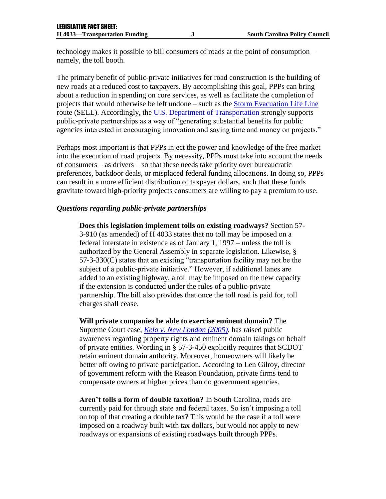technology makes it possible to bill consumers of roads at the point of consumption – namely, the toll booth.

The primary benefit of public-private initiatives for road construction is the building of new roads at a reduced cost to taxpayers. By accomplishing this goal, PPPs can bring about a reduction in spending on core services, as well as facilitate the completion of projects that would otherwise be left undone – such as the [Storm Evacuation](http://www.tollroadsnews.com/node/4645) Life Line route (SELL). Accordingly, the [U.S. Department of Transportation](http://www.fhwa.dot.gov/reports/pppdec2004/pppdec2004.pdf) strongly supports public-private partnerships as a way of "generating substantial benefits for public agencies interested in encouraging innovation and saving time and money on projects."

Perhaps most important is that PPPs inject the power and knowledge of the free market into the execution of road projects. By necessity, PPPs must take into account the needs of consumers – as drivers – so that these needs take priority over bureaucratic preferences, backdoor deals, or misplaced federal funding allocations. In doing so, PPPs can result in a more efficient distribution of taxpayer dollars, such that these funds gravitate toward high-priority projects consumers are willing to pay a premium to use.

#### *Questions regarding public-private partnerships*

**Does this legislation implement tolls on existing roadways?** Section 57- 3-910 (as amended) of H 4033 states that no toll may be imposed on a federal interstate in existence as of January 1, 1997 – unless the toll is authorized by the General Assembly in separate legislation. Likewise, § 57-3-330(C) states that an existing "transportation facility may not be the subject of a public-private initiative." However, if additional lanes are added to an existing highway, a toll may be imposed on the new capacity if the extension is conducted under the rules of a public-private partnership. The bill also provides that once the toll road is paid for, toll charges shall cease.

**Will private companies be able to exercise eminent domain?** The Supreme Court case, *[Kelo v. New London](http://en.wikipedia.org/wiki/Kelo_v._City_of_New_London) (2005),* has raised public awareness regarding property rights and eminent domain takings on behalf of private entities. Wording in § 57-3-450 explicitly requires that SCDOT retain eminent domain authority. Moreover, homeowners will likely be better off owing to private participation. According to Len Gilroy, director of government reform with the Reason Foundation, private firms tend to compensate owners at higher prices than do government agencies.

**Aren't tolls a form of double taxation?** In South Carolina, roads are currently paid for through state and federal taxes. So isn't imposing a toll on top of that creating a double tax? This would be the case if a toll were imposed on a roadway built with tax dollars, but would not apply to new roadways or expansions of existing roadways built through PPPs.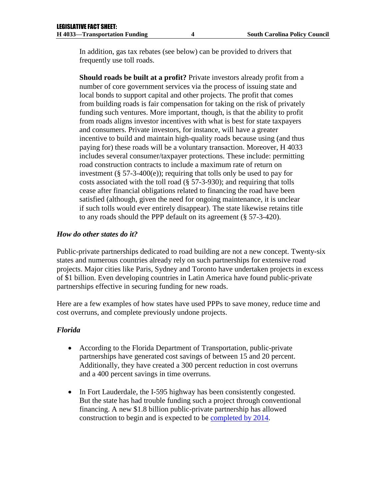In addition, gas tax rebates (see below) can be provided to drivers that frequently use toll roads.

**Should roads be built at a profit?** Private investors already profit from a number of core government services via the process of issuing state and local bonds to support capital and other projects. The profit that comes from building roads is fair compensation for taking on the risk of privately funding such ventures. More important, though, is that the ability to profit from roads aligns investor incentives with what is best for state taxpayers and consumers. Private investors, for instance, will have a greater incentive to build and maintain high-quality roads because using (and thus paying for) these roads will be a voluntary transaction. Moreover, H 4033 includes several consumer/taxpayer protections. These include: permitting road construction contracts to include a maximum rate of return on investment  $(\S 57-3-400(e))$ ; requiring that tolls only be used to pay for costs associated with the toll road (§ 57-3-930); and requiring that tolls cease after financial obligations related to financing the road have been satisfied (although, given the need for ongoing maintenance, it is unclear if such tolls would ever entirely disappear). The state likewise retains title to any roads should the PPP default on its agreement (§ 57-3-420).

#### *How do other states do it?*

Public-private partnerships dedicated to road building are not a new concept. Twenty-six states and numerous countries already rely on such partnerships for extensive road projects. Major cities like Paris, Sydney and Toronto have undertaken projects in excess of \$1 billion. Even developing countries in Latin America have found public-private partnerships effective in securing funding for new roads.

Here are a few examples of how states have used PPPs to save money, reduce time and cost overruns, and complete previously undone projects.

#### *Florida*

- According to the Florida Department of Transportation, public-private partnerships have generated cost savings of between 15 and 20 percent. Additionally, they have created a 300 percent reduction in cost overruns and a 400 percent savings in time overruns.
- In Fort Lauderdale, the I-595 highway has been consistently congested. But the state has had trouble funding such a project through conventional financing. A new \$1.8 billion public-private partnership has allowed construction to begin and is expected to be [completed by 2014.](http://www.fhwa.dot.gov/ipd/case_studies/fl_i595.htm)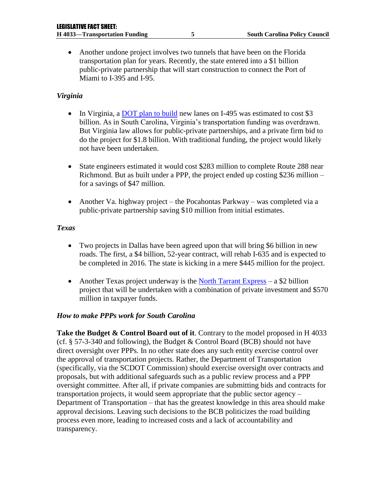Another undone project involves two tunnels that have been on the Florida transportation plan for years. Recently, the state entered into a \$1 billion public-private partnership that will start construction to connect the Port of Miami to I-395 and I-95.

#### *Virginia*

- In Virginia, a [DOT plan to build](http://reason.org/files/testimony_pennsylvania_transportation_public_private_partnerships.pdf) new lanes on I-495 was estimated to cost \$3 billion. As in South Carolina, Virginia's transportation funding was overdrawn. But Virginia law allows for public-private partnerships, and a private firm bid to do the project for \$1.8 billion. With traditional funding, the project would likely not have been undertaken.
- State engineers estimated it would cost \$283 million to complete Route 288 near Richmond. But as built under a PPP, the project ended up costing \$236 million – for a savings of \$47 million.
- Another Va. highway project the Pocahontas Parkway was completed via a public-private partnership saving \$10 million from initial estimates.

#### *Texas*

- Two projects in Dallas have been agreed upon that will bring \$6 billion in new roads. The first, a \$4 billion, 52-year contract, will rehab I-635 and is expected to be completed in 2016. The state is kicking in a mere \$445 million for the project.
- Another Texas project underway is the [North Tarrant Express](http://reason.org/files/reason_nebraska_transportation_ppp_2009.pdf) a \$2 billion project that will be undertaken with a combination of private investment and \$570 million in taxpayer funds.

#### *How to make PPPs work for South Carolina*

**Take the Budget & Control Board out of it**. Contrary to the model proposed in H 4033 (cf. § 57-3-340 and following), the Budget & Control Board (BCB) should not have direct oversight over PPPs. In no other state does any such entity exercise control over the approval of transportation projects. Rather, the Department of Transportation (specifically, via the SCDOT Commission) should exercise oversight over contracts and proposals, but with additional safeguards such as a public review process and a PPP oversight committee. After all, if private companies are submitting bids and contracts for transportation projects, it would seem appropriate that the public sector agency – Department of Transportation – that has the greatest knowledge in this area should make approval decisions. Leaving such decisions to the BCB politicizes the road building process even more, leading to increased costs and a lack of accountability and transparency.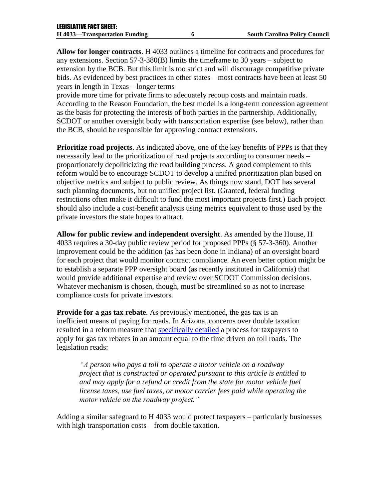**Allow for longer contracts**. H 4033 outlines a timeline for contracts and procedures for any extensions. Section 57-3-380(B) limits the timeframe to 30 years – subject to extension by the BCB. But this limit is too strict and will discourage competitive private bids. As evidenced by best practices in other states – most contracts have been at least 50 years in length in Texas – longer terms

provide more time for private firms to adequately recoup costs and maintain roads. According to the Reason Foundation, the best model is a long-term concession agreement as the basis for protecting the interests of both parties in the partnership. Additionally, SCDOT or another oversight body with transportation expertise (see below), rather than the BCB, should be responsible for approving contract extensions.

**Prioritize road projects**. As indicated above, one of the key benefits of PPPs is that they necessarily lead to the prioritization of road projects according to consumer needs – proportionately depoliticizing the road building process. A good complement to this reform would be to encourage SCDOT to develop a unified prioritization plan based on objective metrics and subject to public review. As things now stand, DOT has several such planning documents, but no unified project list. (Granted, federal funding restrictions often make it difficult to fund the most important projects first.) Each project should also include a cost-benefit analysis using metrics equivalent to those used by the private investors the state hopes to attract.

**Allow for public review and independent oversight**. As amended by the House, H 4033 requires a 30-day public review period for proposed PPPs (§ 57-3-360). Another improvement could be the addition (as has been done in Indiana) of an oversight board for each project that would monitor contract compliance. An even better option might be to establish a separate PPP oversight board (as recently instituted in California) that would provide additional expertise and review over SCDOT Commission decisions. Whatever mechanism is chosen, though, must be streamlined so as not to increase compliance costs for private investors.

**Provide for a gas tax rebate**. As previously mentioned, the gas tax is an inefficient means of paying for roads. In Arizona, concerns over double taxation resulted in a reform measure that [specifically detailed](http://www.azleg.gov/FormatDocument.asp?inDoc=/legtext/49leg/1r/bills/hb2396s.htm) a process for taxpayers to apply for gas tax rebates in an amount equal to the time driven on toll roads. The legislation reads:

*"A person who pays a toll to operate a motor vehicle on a roadway project that is constructed or operated pursuant to this article is entitled to and may apply for a refund or credit from the state for motor vehicle fuel license taxes, use fuel taxes, or motor carrier fees paid while operating the motor vehicle on the roadway project."*

Adding a similar safeguard to H 4033 would protect taxpayers – particularly businesses with high transportation costs – from double taxation.